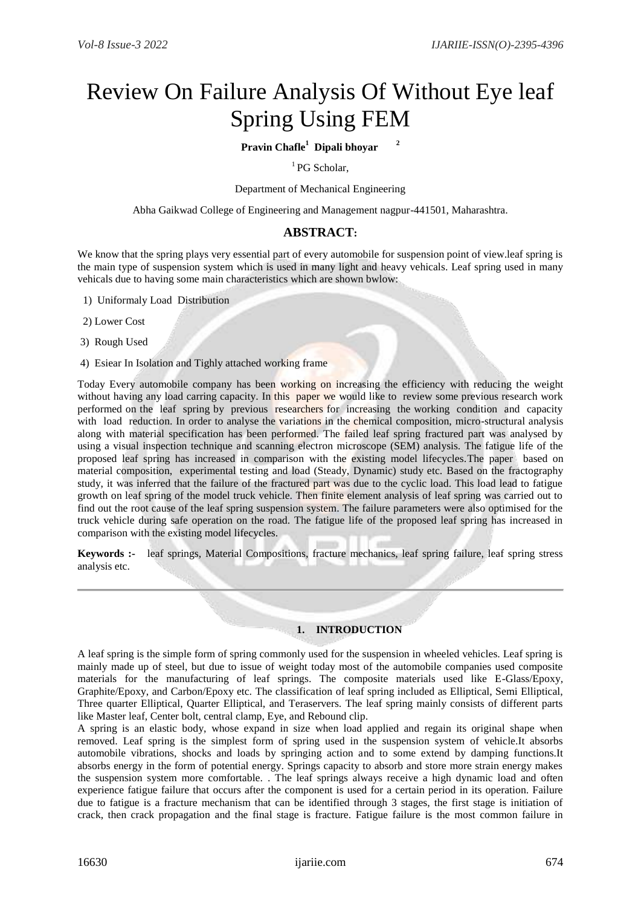# Review On Failure Analysis Of Without Eye leaf Spring Using FEM

## **Pravin Chafle<sup>1</sup> Dipali bhoyar <sup>2</sup>**

## $<sup>1</sup>$  PG Scholar.</sup>

Department of Mechanical Engineering

Abha Gaikwad College of Engineering and Management nagpur-441501, Maharashtra.

### **ABSTRACT:**

We know that the spring plays very essential part of every automobile for suspension point of view. Leaf spring is the main type of suspension system which is used in many light and heavy vehicals. Leaf spring used in many vehicals due to having some main characteristics which are shown bwlow:

- 1) Uniformaly Load Distribution
- 2) Lower Cost
- 3) Rough Used
- 4) Esiear In Isolation and Tighly attached working frame

Today Every automobile company has been working on increasing the efficiency with reducing the weight without having any load carring capacity. In this paper we would like to review some previous research work performed on the leaf spring by previous researchers for increasing the working condition and capacity with load reduction. In order to analyse the variations in the chemical composition, micro-structural analysis along with material specification has been performed. The failed leaf spring fractured part was analysed by using a visual inspection technique and scanning electron microscope (SEM) analysis. The fatigue life of the proposed leaf spring has increased in comparison with the existing model lifecycles.The paper based on material composition, experimental testing and load (Steady, Dynamic) study etc. Based on the fractography study, it was inferred that the failure of the fractured part was due to the cyclic load. This load lead to fatigue growth on leaf spring of the model truck vehicle. Then finite element analysis of leaf spring was carried out to find out the root cause of the leaf spring suspension system. The failure parameters were also optimised for the truck vehicle during safe operation on the road. The fatigue life of the proposed leaf spring has increased in comparison with the existing model lifecycles.

**Keywords :-** leaf springs, Material Compositions, fracture mechanics, leaf spring failure, leaf spring stress analysis etc.

#### **1. INTRODUCTION**

A leaf spring is the simple form of spring commonly used for the suspension in wheeled vehicles. Leaf spring is mainly made up of steel, but due to issue of weight today most of the automobile companies used composite materials for the manufacturing of leaf springs. The composite materials used like E-Glass/Epoxy, Graphite/Epoxy, and Carbon/Epoxy etc. The classification of leaf spring included as Elliptical, Semi Elliptical, Three quarter Elliptical, Quarter Elliptical, and Teraservers. The leaf spring mainly consists of different parts like Master leaf, Center bolt, central clamp, Eye, and Rebound clip.

A spring is an elastic body, whose expand in size when load applied and regain its original shape when removed. Leaf spring is the simplest form of spring used in the suspension system of vehicle.It absorbs automobile vibrations, shocks and loads by springing action and to some extend by damping functions.It absorbs energy in the form of potential energy. Springs capacity to absorb and store more strain energy makes the suspension system more comfortable. . The leaf springs always receive a high dynamic load and often experience fatigue failure that occurs after the component is used for a certain period in its operation. Failure due to fatigue is a fracture mechanism that can be identified through 3 stages, the first stage is initiation of crack, then crack propagation and the final stage is fracture. Fatigue failure is the most common failure in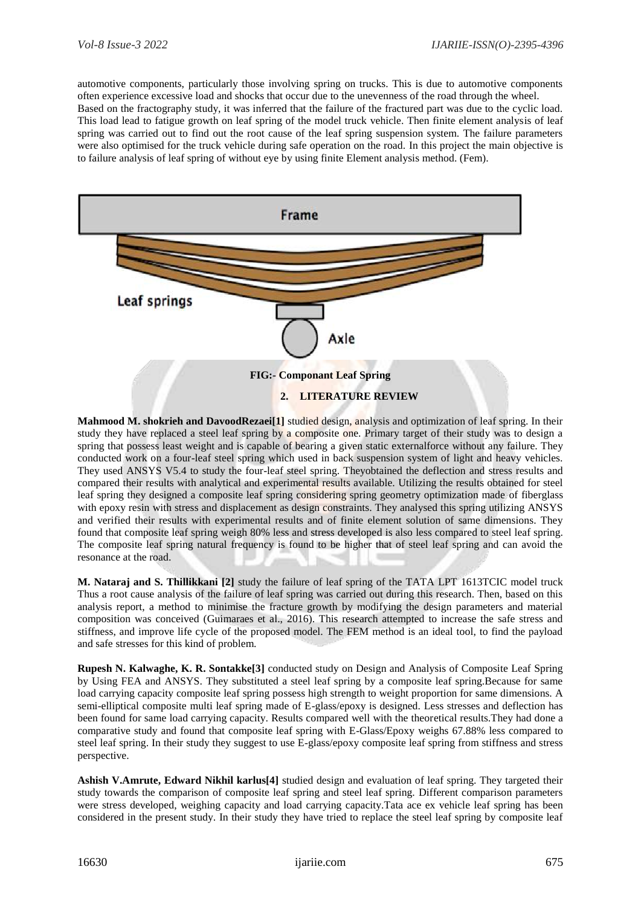automotive components, particularly those involving spring on trucks. This is due to automotive components often experience excessive load and shocks that occur due to the unevenness of the road through the wheel.

Based on the fractography study, it was inferred that the failure of the fractured part was due to the cyclic load. This load lead to fatigue growth on leaf spring of the model truck vehicle. Then finite element analysis of leaf spring was carried out to find out the root cause of the leaf spring suspension system. The failure parameters were also optimised for the truck vehicle during safe operation on the road. In this project the main objective is to failure analysis of leaf spring of without eye by using finite Element analysis method. (Fem).



Mahmood M. shokrieh and DavoodRezaei<sup>[1]</sup> studied design, analysis and optimization of leaf spring. In their study they have replaced a steel leaf spring by a composite one. Primary target of their study was to design a spring that possess least weight and is capable of bearing a given static externalforce without any failure. They conducted work on a four-leaf steel spring which used in back suspension system of light and heavy vehicles. They used ANSYS V5.4 to study the four-leaf steel spring. Theyobtained the deflection and stress results and compared their results with analytical and experimental results available. Utilizing the results obtained for steel leaf spring they designed a composite leaf spring considering spring geometry optimization made of fiberglass with epoxy resin with stress and displacement as design constraints. They analysed this spring utilizing ANSYS and verified their results with experimental results and of finite element solution of same dimensions. They found that composite leaf spring weigh 80% less and stress developed is also less compared to steel leaf spring. The composite leaf spring natural frequency is found to be higher that of steel leaf spring and can avoid the resonance at the road.

**M. Nataraj and S. Thillikkani [2]** study the failure of leaf spring of the TATA LPT 1613TCIC model truck Thus a root cause analysis of the failure of leaf spring was carried out during this research. Then, based on this analysis report, a method to minimise the fracture growth by modifying the design parameters and material composition was conceived (Guimaraes et al., 2016). This research attempted to increase the safe stress and stiffness, and improve life cycle of the proposed model. The FEM method is an ideal tool, to find the payload and safe stresses for this kind of problem.

**Rupesh N. Kalwaghe, K. R. Sontakke[3]** conducted study on Design and Analysis of Composite Leaf Spring by Using FEA and ANSYS. They substituted a steel leaf spring by a composite leaf spring.Because for same load carrying capacity composite leaf spring possess high strength to weight proportion for same dimensions. A semi-elliptical composite multi leaf spring made of E-glass/epoxy is designed. Less stresses and deflection has been found for same load carrying capacity. Results compared well with the theoretical results.They had done a comparative study and found that composite leaf spring with E-Glass/Epoxy weighs 67.88% less compared to steel leaf spring. In their study they suggest to use E-glass/epoxy composite leaf spring from stiffness and stress perspective.

**Ashish V.Amrute, Edward Nikhil karlus[4]** studied design and evaluation of leaf spring. They targeted their study towards the comparison of composite leaf spring and steel leaf spring. Different comparison parameters were stress developed, weighing capacity and load carrying capacity.Tata ace ex vehicle leaf spring has been considered in the present study. In their study they have tried to replace the steel leaf spring by composite leaf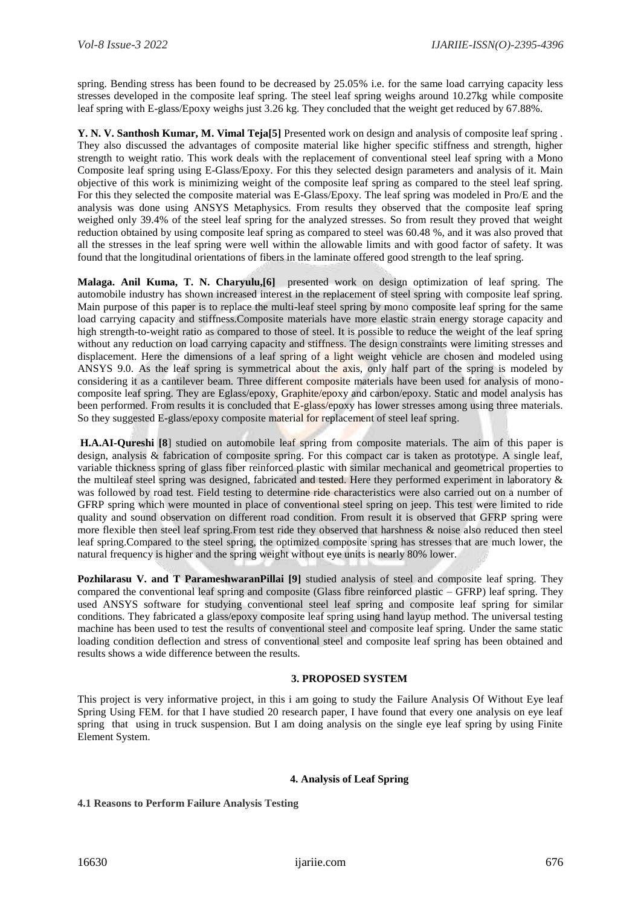spring. Bending stress has been found to be decreased by 25.05% i.e. for the same load carrying capacity less stresses developed in the composite leaf spring. The steel leaf spring weighs around 10.27kg while composite leaf spring with E-glass/Epoxy weighs just 3.26 kg. They concluded that the weight get reduced by 67.88%.

**Y. N. V. Santhosh Kumar, M. Vimal Teja[5]** Presented work on design and analysis of composite leaf spring . They also discussed the advantages of composite material like higher specific stiffness and strength, higher strength to weight ratio. This work deals with the replacement of conventional steel leaf spring with a Mono Composite leaf spring using E-Glass/Epoxy. For this they selected design parameters and analysis of it. Main objective of this work is minimizing weight of the composite leaf spring as compared to the steel leaf spring. For this they selected the composite material was E-Glass/Epoxy. The leaf spring was modeled in Pro/E and the analysis was done using ANSYS Metaphysics. From results they observed that the composite leaf spring weighed only 39.4% of the steel leaf spring for the analyzed stresses. So from result they proved that weight reduction obtained by using composite leaf spring as compared to steel was 60.48 %, and it was also proved that all the stresses in the leaf spring were well within the allowable limits and with good factor of safety. It was found that the longitudinal orientations of fibers in the laminate offered good strength to the leaf spring.

**Malaga. Anil Kuma, T. N. Charyulu,[6]** presented work on design optimization of leaf spring. The automobile industry has shown increased interest in the replacement of steel spring with composite leaf spring. Main purpose of this paper is to replace the multi-leaf steel spring by mono composite leaf spring for the same load carrying capacity and stiffness.Composite materials have more elastic strain energy storage capacity and high strength-to-weight ratio as compared to those of steel. It is possible to reduce the weight of the leaf spring without any reduction on load carrying capacity and stiffness. The design constraints were limiting stresses and displacement. Here the dimensions of a leaf spring of a light weight vehicle are chosen and modeled using ANSYS 9.0. As the leaf spring is symmetrical about the axis, only half part of the spring is modeled by considering it as a cantilever beam. Three different composite materials have been used for analysis of monocomposite leaf spring. They are Eglass/epoxy, Graphite/epoxy and carbon/epoxy. Static and model analysis has been performed. From results it is concluded that E-glass/epoxy has lower stresses among using three materials. So they suggested E-glass/epoxy composite material for replacement of steel leaf spring.

**H.A.AI-Qureshi [8**] studied on automobile leaf spring from composite materials. The aim of this paper is design, analysis & fabrication of composite spring. For this compact car is taken as prototype. A single leaf, variable thickness spring of glass fiber reinforced plastic with similar mechanical and geometrical properties to the multileaf steel spring was designed, fabricated and tested. Here they performed experiment in laboratory & was followed by road test. Field testing to determine ride characteristics were also carried out on a number of GFRP spring which were mounted in place of conventional steel spring on jeep. This test were limited to ride quality and sound observation on different road condition. From result it is observed that GFRP spring were more flexible then steel leaf spring.From test ride they observed that harshness & noise also reduced then steel leaf spring.Compared to the steel spring, the optimized composite spring has stresses that are much lower, the natural frequency is higher and the spring weight without eye units is nearly 80% lower.

**Pozhilarasu V. and T ParameshwaranPillai [9]** studied analysis of steel and composite leaf spring. They compared the conventional leaf spring and composite (Glass fibre reinforced plastic – GFRP) leaf spring. They used ANSYS software for studying conventional steel leaf spring and composite leaf spring for similar conditions. They fabricated a glass/epoxy composite leaf spring using hand layup method. The universal testing machine has been used to test the results of conventional steel and composite leaf spring. Under the same static loading condition deflection and stress of conventional steel and composite leaf spring has been obtained and results shows a wide difference between the results.

## **3. PROPOSED SYSTEM**

This project is very informative project, in this i am going to study the Failure Analysis Of Without Eye leaf Spring Using FEM. for that I have studied 20 research paper, I have found that every one analysis on eye leaf spring that using in truck suspension. But I am doing analysis on the single eye leaf spring by using Finite Element System.

#### **4. Analysis of Leaf Spring**

#### **4.1 Reasons to Perform Failure Analysis Testing**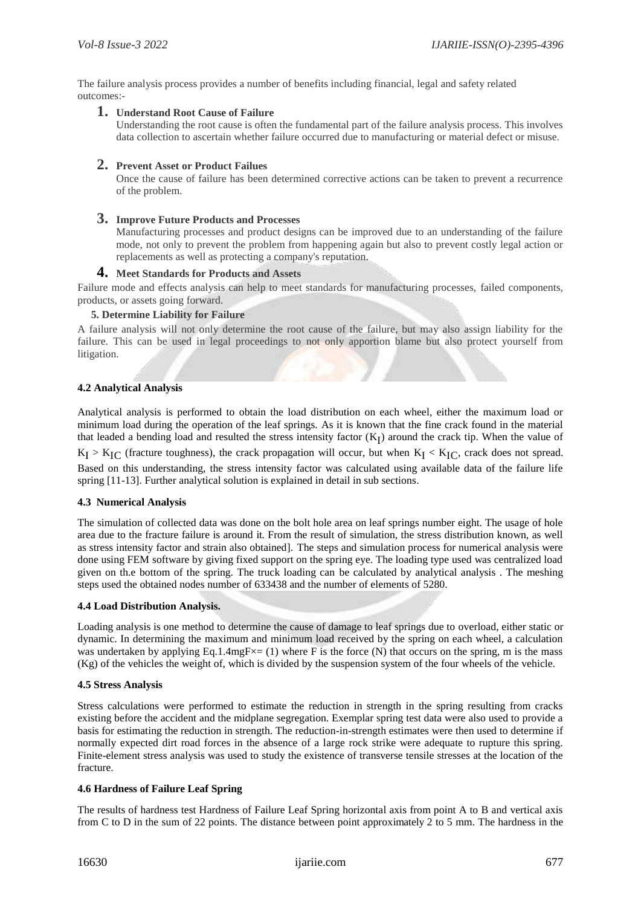The failure analysis process provides a number of benefits including financial, legal and safety related outcomes:-

**1. Understand Root Cause of Failure**

Understanding the root cause is often the fundamental part of the failure analysis process. This involves data collection to ascertain whether failure occurred due to manufacturing or material defect or misuse.

#### **2. Prevent Asset or Product Failues**

Once the cause of failure has been determined corrective actions can be taken to prevent a recurrence of the problem.

#### **3. Improve Future Products and Processes**

Manufacturing processes and product designs can be improved due to an understanding of the failure mode, not only to prevent the problem from happening again but also to prevent costly legal action or replacements as well as protecting a company's reputation.

### **4. Meet Standards for Products and Assets**

Failure mode and effects analysis can help to meet standards for manufacturing processes, failed components, products, or assets going forward.

#### **5. Determine Liability for Failure**

A failure analysis will not only determine the root cause of the failure, but may also assign liability for the failure. This can be used in legal proceedings to not only apportion blame but also protect yourself from litigation.

#### **4.2 Analytical Analysis**

Analytical analysis is performed to obtain the load distribution on each wheel, either the maximum load or minimum load during the operation of the leaf springs. As it is known that the fine crack found in the material that leaded a bending load and resulted the stress intensity factor  $(K_I)$  around the crack tip. When the value of  $K_I > K_{IC}$  (fracture toughness), the crack propagation will occur, but when  $K_I < K_{IC}$ , crack does not spread. Based on this understanding, the stress intensity factor was calculated using available data of the failure life spring [11-13]. Further analytical solution is explained in detail in sub sections.

#### **4.3 Numerical Analysis**

The simulation of collected data was done on the bolt hole area on leaf springs number eight. The usage of hole area due to the fracture failure is around it. From the result of simulation, the stress distribution known, as well as stress intensity factor and strain also obtained]. The steps and simulation process for numerical analysis were done using FEM software by giving fixed support on the spring eye. The loading type used was centralized load given on th.e bottom of the spring. The truck loading can be calculated by analytical analysis . The meshing steps used the obtained nodes number of 633438 and the number of elements of 5280.

#### **4.4 Load Distribution Analysis.**

Loading analysis is one method to determine the cause of damage to leaf springs due to overload, either static or dynamic. In determining the maximum and minimum load received by the spring on each wheel, a calculation was undertaken by applying Eq.1.4mgF $\times$ = (1) where F is the force (N) that occurs on the spring, m is the mass (Kg) of the vehicles the weight of, which is divided by the suspension system of the four wheels of the vehicle.

#### **4.5 Stress Analysis**

Stress calculations were performed to estimate the reduction in strength in the spring resulting from cracks existing before the accident and the midplane segregation. Exemplar spring test data were also used to provide a basis for estimating the reduction in strength. The reduction-in-strength estimates were then used to determine if normally expected dirt road forces in the absence of a large rock strike were adequate to rupture this spring. Finite-element stress analysis was used to study the existence of transverse tensile stresses at the location of the fracture.

#### **4.6 Hardness of Failure Leaf Spring**

The results of hardness test Hardness of Failure Leaf Spring horizontal axis from point A to B and vertical axis from C to D in the sum of 22 points. The distance between point approximately 2 to 5 mm. The hardness in the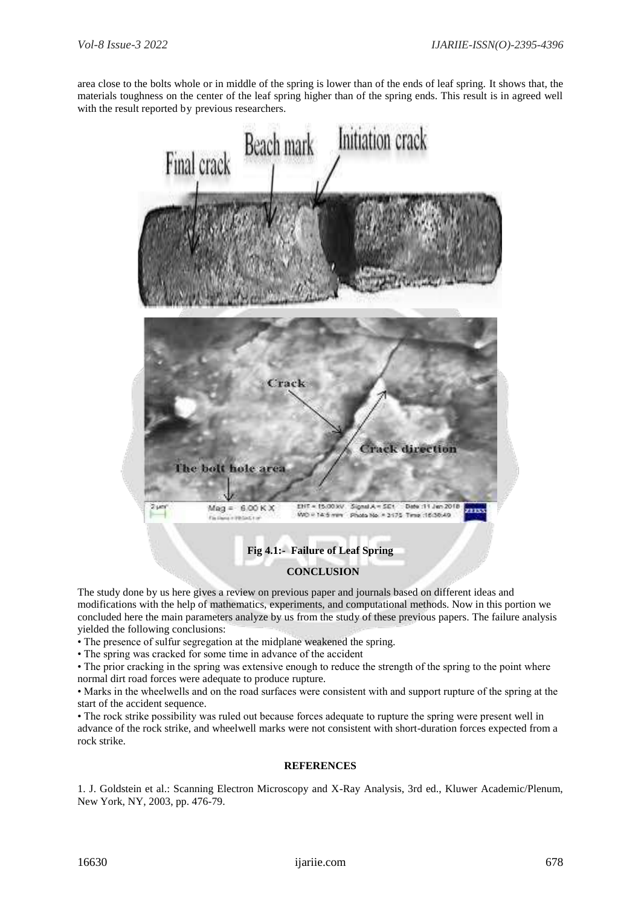area close to the bolts whole or in middle of the spring is lower than of the ends of leaf spring. It shows that, the materials toughness on the center of the leaf spring higher than of the spring ends. This result is in agreed well with the result reported by previous researchers.



The study done by us here gives a review on previous paper and journals based on different ideas and modifications with the help of mathematics, experiments, and computational methods. Now in this portion we concluded here the main parameters analyze by us from the study of these previous papers. The failure analysis yielded the following conclusions:

• The presence of sulfur segregation at the midplane weakened the spring.

• The spring was cracked for some time in advance of the accident

• The prior cracking in the spring was extensive enough to reduce the strength of the spring to the point where normal dirt road forces were adequate to produce rupture.

• Marks in the wheelwells and on the road surfaces were consistent with and support rupture of the spring at the start of the accident sequence.

• The rock strike possibility was ruled out because forces adequate to rupture the spring were present well in advance of the rock strike, and wheelwell marks were not consistent with short-duration forces expected from a rock strike.

#### **REFERENCES**

1. J. Goldstein et al.: Scanning Electron Microscopy and X-Ray Analysis, 3rd ed., Kluwer Academic/Plenum, New York, NY, 2003, pp. 476-79.